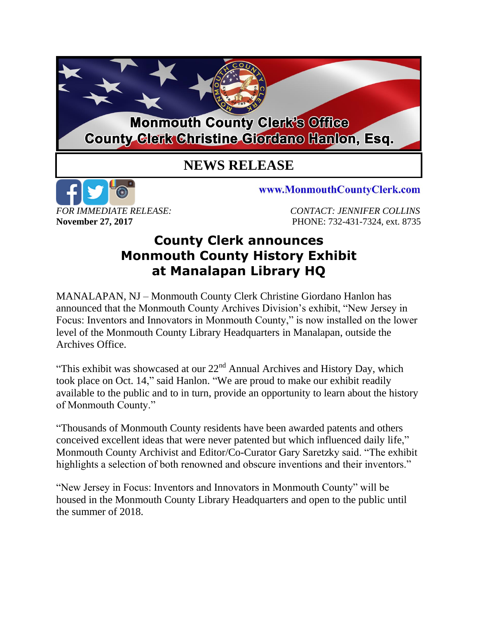## **Monmouth County Clerk's Office County Glerk Christine Giordano Hanlon, Esq.**

## **NEWS RELEASE**



www.MonmouthCountyClerk.com

*FOR IMMEDIATE RELEASE: CONTACT: JENNIFER COLLINS* **November 27, 2017 PHONE: 732-431-7324, ext. 8735** 

## **County Clerk announces Monmouth County History Exhibit at Manalapan Library HQ**

MANALAPAN, NJ – Monmouth County Clerk Christine Giordano Hanlon has announced that the Monmouth County Archives Division's exhibit, "New Jersey in Focus: Inventors and Innovators in Monmouth County," is now installed on the lower level of the Monmouth County Library Headquarters in Manalapan, outside the Archives Office.

"This exhibit was showcased at our  $22<sup>nd</sup>$  Annual Archives and History Day, which took place on Oct. 14," said Hanlon. "We are proud to make our exhibit readily available to the public and to in turn, provide an opportunity to learn about the history of Monmouth County."

"Thousands of Monmouth County residents have been awarded patents and others conceived excellent ideas that were never patented but which influenced daily life," Monmouth County Archivist and Editor/Co-Curator Gary Saretzky said. "The exhibit highlights a selection of both renowned and obscure inventions and their inventors."

"New Jersey in Focus: Inventors and Innovators in Monmouth County" will be housed in the Monmouth County Library Headquarters and open to the public until the summer of 2018.